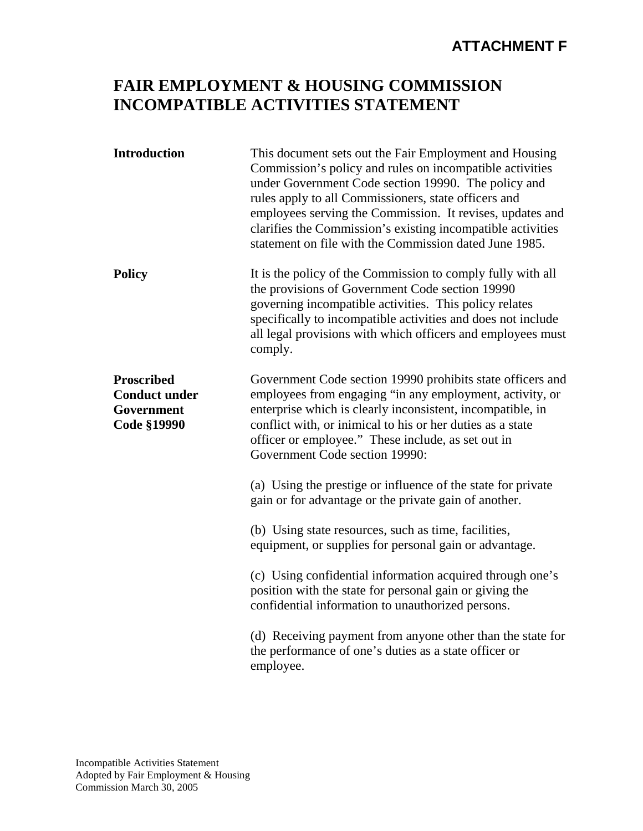## **ATTACHMENT F**

## **FAIR EMPLOYMENT & HOUSING COMMISSION INCOMPATIBLE ACTIVITIES STATEMENT**

| <b>Introduction</b>                                                           | This document sets out the Fair Employment and Housing<br>Commission's policy and rules on incompatible activities<br>under Government Code section 19990. The policy and<br>rules apply to all Commissioners, state officers and<br>employees serving the Commission. It revises, updates and<br>clarifies the Commission's existing incompatible activities<br>statement on file with the Commission dated June 1985. |
|-------------------------------------------------------------------------------|-------------------------------------------------------------------------------------------------------------------------------------------------------------------------------------------------------------------------------------------------------------------------------------------------------------------------------------------------------------------------------------------------------------------------|
| <b>Policy</b>                                                                 | It is the policy of the Commission to comply fully with all<br>the provisions of Government Code section 19990<br>governing incompatible activities. This policy relates<br>specifically to incompatible activities and does not include<br>all legal provisions with which officers and employees must<br>comply.                                                                                                      |
| <b>Proscribed</b><br><b>Conduct under</b><br>Government<br><b>Code §19990</b> | Government Code section 19990 prohibits state officers and<br>employees from engaging "in any employment, activity, or<br>enterprise which is clearly inconsistent, incompatible, in<br>conflict with, or inimical to his or her duties as a state<br>officer or employee." These include, as set out in<br>Government Code section 19990:                                                                              |
|                                                                               | (a) Using the prestige or influence of the state for private<br>gain or for advantage or the private gain of another.                                                                                                                                                                                                                                                                                                   |
|                                                                               | (b) Using state resources, such as time, facilities,<br>equipment, or supplies for personal gain or advantage.                                                                                                                                                                                                                                                                                                          |
|                                                                               | (c) Using confidential information acquired through one's<br>position with the state for personal gain or giving the<br>confidential information to unauthorized persons.                                                                                                                                                                                                                                               |
|                                                                               | (d) Receiving payment from anyone other than the state for<br>the performance of one's duties as a state officer or<br>employee.                                                                                                                                                                                                                                                                                        |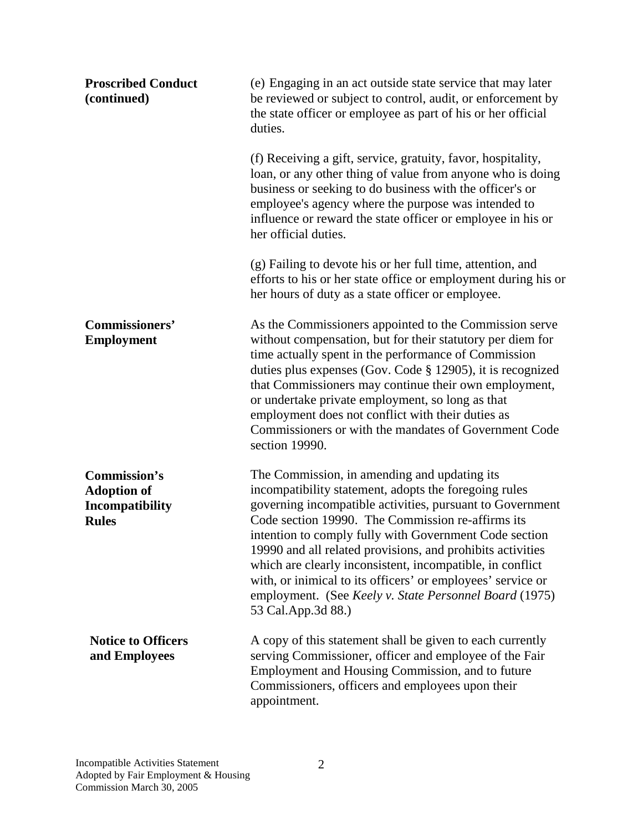| <b>Proscribed Conduct</b><br>(continued)                                     | (e) Engaging in an act outside state service that may later<br>be reviewed or subject to control, audit, or enforcement by<br>the state officer or employee as part of his or her official<br>duties.                                                                                                                                                                                                                                                                                                                                                       |
|------------------------------------------------------------------------------|-------------------------------------------------------------------------------------------------------------------------------------------------------------------------------------------------------------------------------------------------------------------------------------------------------------------------------------------------------------------------------------------------------------------------------------------------------------------------------------------------------------------------------------------------------------|
|                                                                              | (f) Receiving a gift, service, gratuity, favor, hospitality,<br>loan, or any other thing of value from anyone who is doing<br>business or seeking to do business with the officer's or<br>employee's agency where the purpose was intended to<br>influence or reward the state officer or employee in his or<br>her official duties.                                                                                                                                                                                                                        |
|                                                                              | (g) Failing to devote his or her full time, attention, and<br>efforts to his or her state office or employment during his or<br>her hours of duty as a state officer or employee.                                                                                                                                                                                                                                                                                                                                                                           |
| <b>Commissioners'</b><br><b>Employment</b>                                   | As the Commissioners appointed to the Commission serve<br>without compensation, but for their statutory per diem for<br>time actually spent in the performance of Commission<br>duties plus expenses (Gov. Code $\S$ 12905), it is recognized<br>that Commissioners may continue their own employment,<br>or undertake private employment, so long as that<br>employment does not conflict with their duties as<br>Commissioners or with the mandates of Government Code<br>section 19990.                                                                  |
| Commission's<br><b>Adoption of</b><br><b>Incompatibility</b><br><b>Rules</b> | The Commission, in amending and updating its<br>incompatibility statement, adopts the foregoing rules<br>governing incompatible activities, pursuant to Government<br>Code section 19990. The Commission re-affirms its<br>intention to comply fully with Government Code section<br>19990 and all related provisions, and prohibits activities<br>which are clearly inconsistent, incompatible, in conflict<br>with, or inimical to its officers' or employees' service or<br>employment. (See Keely v. State Personnel Board (1975)<br>53 Cal.App.3d 88.) |
| <b>Notice to Officers</b><br>and Employees                                   | A copy of this statement shall be given to each currently<br>serving Commissioner, officer and employee of the Fair<br>Employment and Housing Commission, and to future<br>Commissioners, officers and employees upon their<br>appointment.                                                                                                                                                                                                                                                                                                                 |